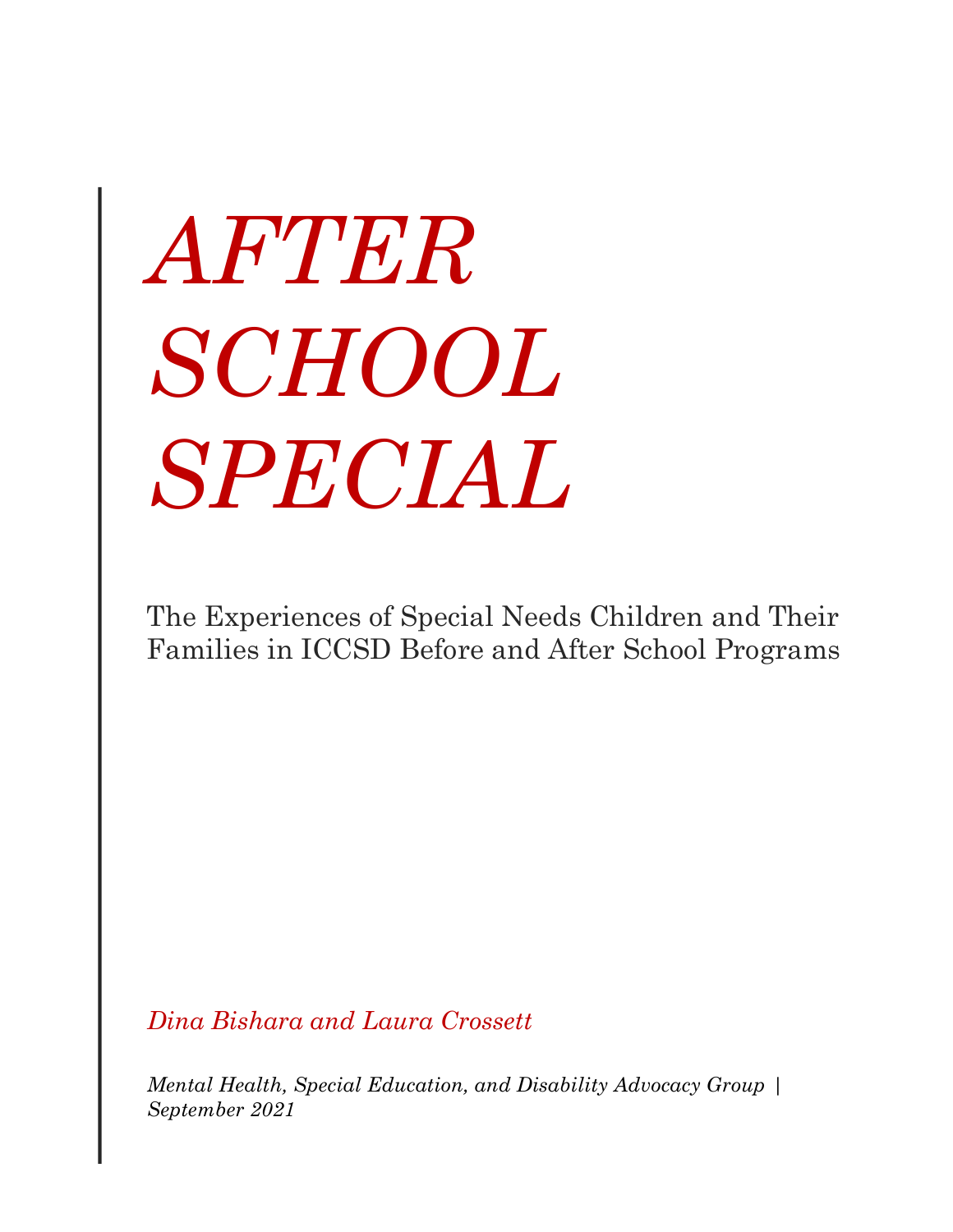# *AFTER SCHOOL SPECIAL*

The Experiences of Special Needs Children and Their Families in ICCSD Before and After School Programs

*Dina Bishara and Laura Crossett*

*Mental Health, Special Education, and Disability Advocacy Group | September 2021*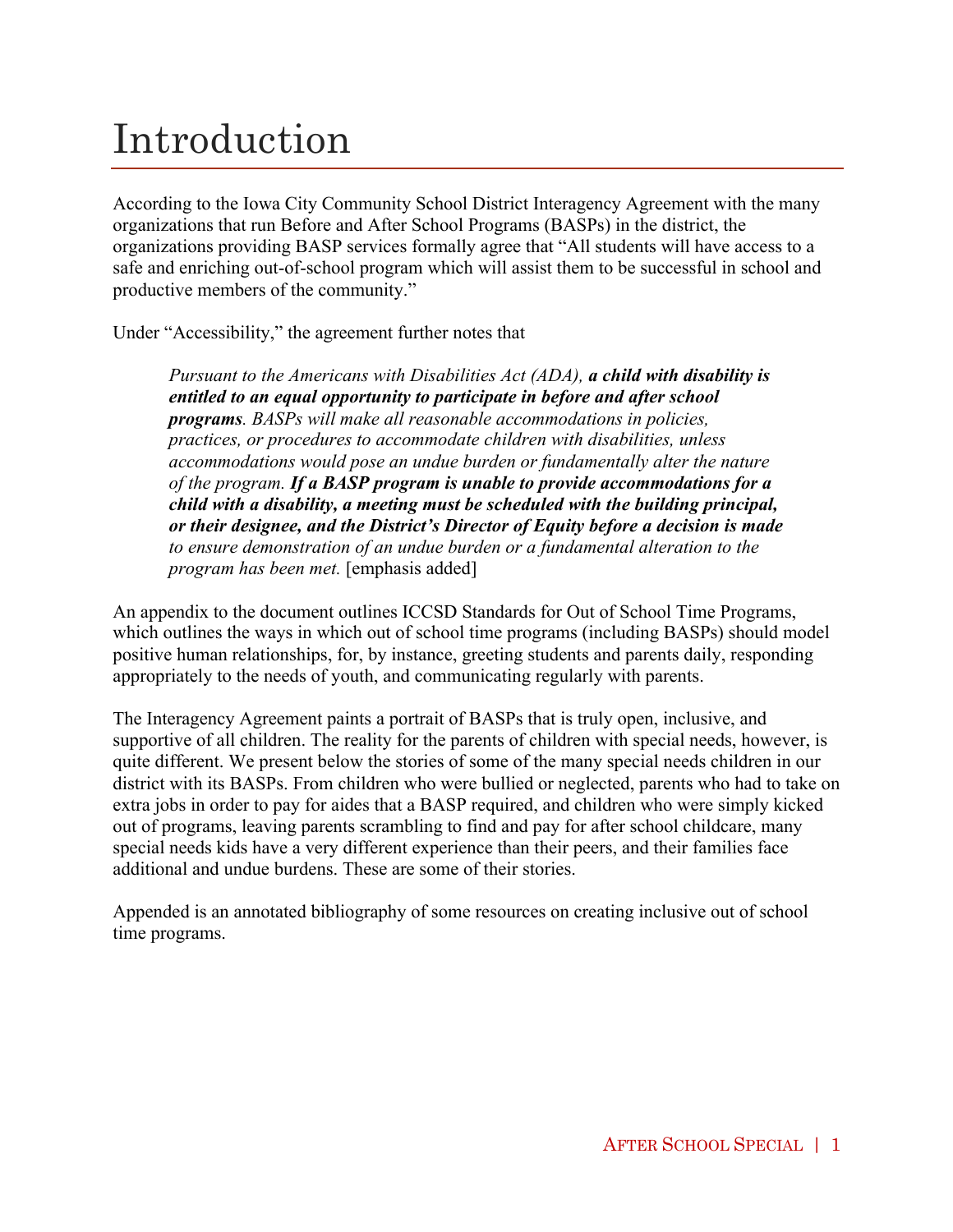## Introduction

According to the Iowa City Community School District Interagency Agreement with the many organizations that run Before and After School Programs (BASPs) in the district, the organizations providing BASP services formally agree that "All students will have access to a safe and enriching out-of-school program which will assist them to be successful in school and productive members of the community."

Under "Accessibility," the agreement further notes that

*Pursuant to the Americans with Disabilities Act (ADA), a child with disability is entitled to an equal opportunity to participate in before and after school programs. BASPs will make all reasonable accommodations in policies, practices, or procedures to accommodate children with disabilities, unless accommodations would pose an undue burden or fundamentally alter the nature of the program. If a BASP program is unable to provide accommodations for a child with a disability, a meeting must be scheduled with the building principal, or their designee, and the District's Director of Equity before a decision is made to ensure demonstration of an undue burden or a fundamental alteration to the program has been met.* [emphasis added]

An appendix to the document outlines ICCSD Standards for Out of School Time Programs, which outlines the ways in which out of school time programs (including BASPs) should model positive human relationships, for, by instance, greeting students and parents daily, responding appropriately to the needs of youth, and communicating regularly with parents.

The Interagency Agreement paints a portrait of BASPs that is truly open, inclusive, and supportive of all children. The reality for the parents of children with special needs, however, is quite different. We present below the stories of some of the many special needs children in our district with its BASPs. From children who were bullied or neglected, parents who had to take on extra jobs in order to pay for aides that a BASP required, and children who were simply kicked out of programs, leaving parents scrambling to find and pay for after school childcare, many special needs kids have a very different experience than their peers, and their families face additional and undue burdens. These are some of their stories.

Appended is an annotated bibliography of some resources on creating inclusive out of school time programs.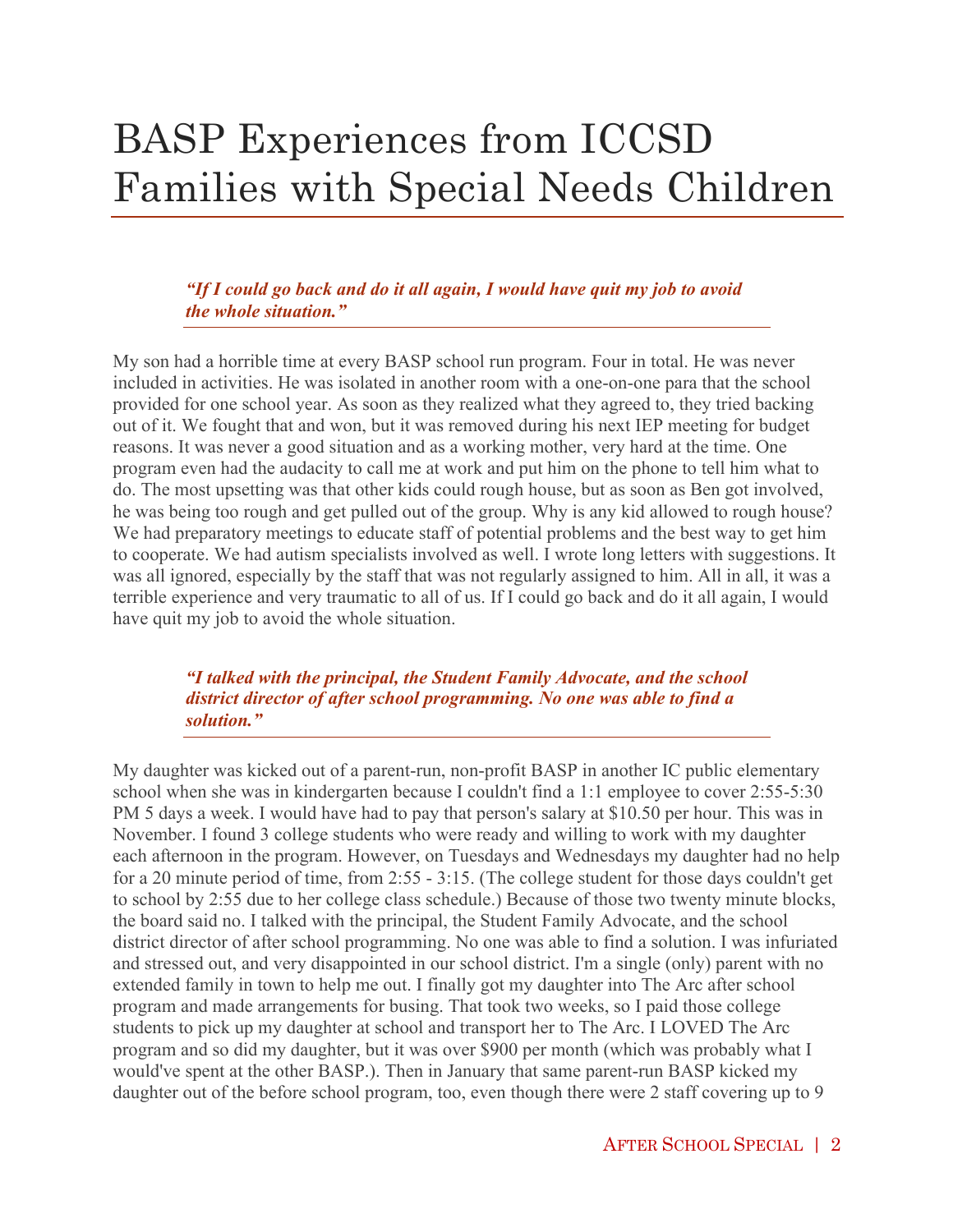## BASP Experiences from ICCSD Families with Special Needs Children

#### *"If I could go back and do it all again, I would have quit my job to avoid the whole situation."*

My son had a horrible time at every BASP school run program. Four in total. He was never included in activities. He was isolated in another room with a one-on-one para that the school provided for one school year. As soon as they realized what they agreed to, they tried backing out of it. We fought that and won, but it was removed during his next IEP meeting for budget reasons. It was never a good situation and as a working mother, very hard at the time. One program even had the audacity to call me at work and put him on the phone to tell him what to do. The most upsetting was that other kids could rough house, but as soon as Ben got involved, he was being too rough and get pulled out of the group. Why is any kid allowed to rough house? We had preparatory meetings to educate staff of potential problems and the best way to get him to cooperate. We had autism specialists involved as well. I wrote long letters with suggestions. It was all ignored, especially by the staff that was not regularly assigned to him. All in all, it was a terrible experience and very traumatic to all of us. If I could go back and do it all again, I would have quit my job to avoid the whole situation.

#### *"I talked with the principal, the Student Family Advocate, and the school district director of after school programming. No one was able to find a solution."*

My daughter was kicked out of a parent-run, non-profit BASP in another IC public elementary school when she was in kindergarten because I couldn't find a 1:1 employee to cover 2:55-5:30 PM 5 days a week. I would have had to pay that person's salary at \$10.50 per hour. This was in November. I found 3 college students who were ready and willing to work with my daughter each afternoon in the program. However, on Tuesdays and Wednesdays my daughter had no help for a 20 minute period of time, from 2:55 - 3:15. (The college student for those days couldn't get to school by 2:55 due to her college class schedule.) Because of those two twenty minute blocks, the board said no. I talked with the principal, the Student Family Advocate, and the school district director of after school programming. No one was able to find a solution. I was infuriated and stressed out, and very disappointed in our school district. I'm a single (only) parent with no extended family in town to help me out. I finally got my daughter into The Arc after school program and made arrangements for busing. That took two weeks, so I paid those college students to pick up my daughter at school and transport her to The Arc. I LOVED The Arc program and so did my daughter, but it was over \$900 per month (which was probably what I would've spent at the other BASP.). Then in January that same parent-run BASP kicked my daughter out of the before school program, too, even though there were 2 staff covering up to 9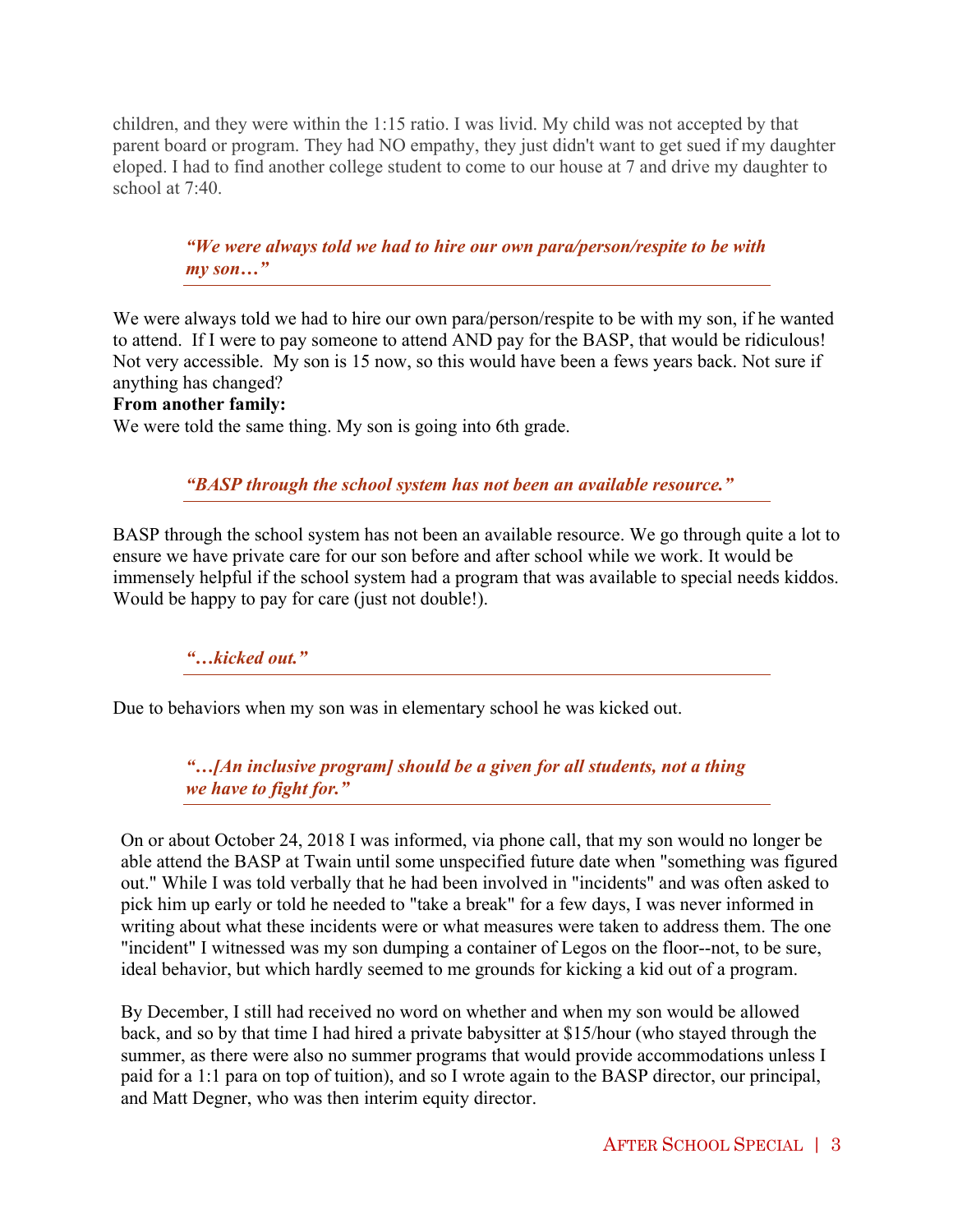children, and they were within the 1:15 ratio. I was livid. My child was not accepted by that parent board or program. They had NO empathy, they just didn't want to get sued if my daughter eloped. I had to find another college student to come to our house at 7 and drive my daughter to school at 7:40.

*"We were always told we had to hire our own para/person/respite to be with my son…"*

We were always told we had to hire our own para/person/respite to be with my son, if he wanted to attend. If I were to pay someone to attend AND pay for the BASP, that would be ridiculous! Not very accessible. My son is 15 now, so this would have been a fews years back. Not sure if anything has changed?

#### **From another family:**

We were told the same thing. My son is going into 6th grade.

*"BASP through the school system has not been an available resource."*

BASP through the school system has not been an available resource. We go through quite a lot to ensure we have private care for our son before and after school while we work. It would be immensely helpful if the school system had a program that was available to special needs kiddos. Would be happy to pay for care (just not double!).

*"…kicked out."*

Due to behaviors when my son was in elementary school he was kicked out.

*"…[An inclusive program] should be a given for all students, not a thing we have to fight for."*

On or about October 24, 2018 I was informed, via phone call, that my son would no longer be able attend the BASP at Twain until some unspecified future date when "something was figured out." While I was told verbally that he had been involved in "incidents" and was often asked to pick him up early or told he needed to "take a break" for a few days, I was never informed in writing about what these incidents were or what measures were taken to address them. The one "incident" I witnessed was my son dumping a container of Legos on the floor--not, to be sure, ideal behavior, but which hardly seemed to me grounds for kicking a kid out of a program.

By December, I still had received no word on whether and when my son would be allowed back, and so by that time I had hired a private babysitter at \$15/hour (who stayed through the summer, as there were also no summer programs that would provide accommodations unless I paid for a 1:1 para on top of tuition), and so I wrote again to the BASP director, our principal, and Matt Degner, who was then interim equity director.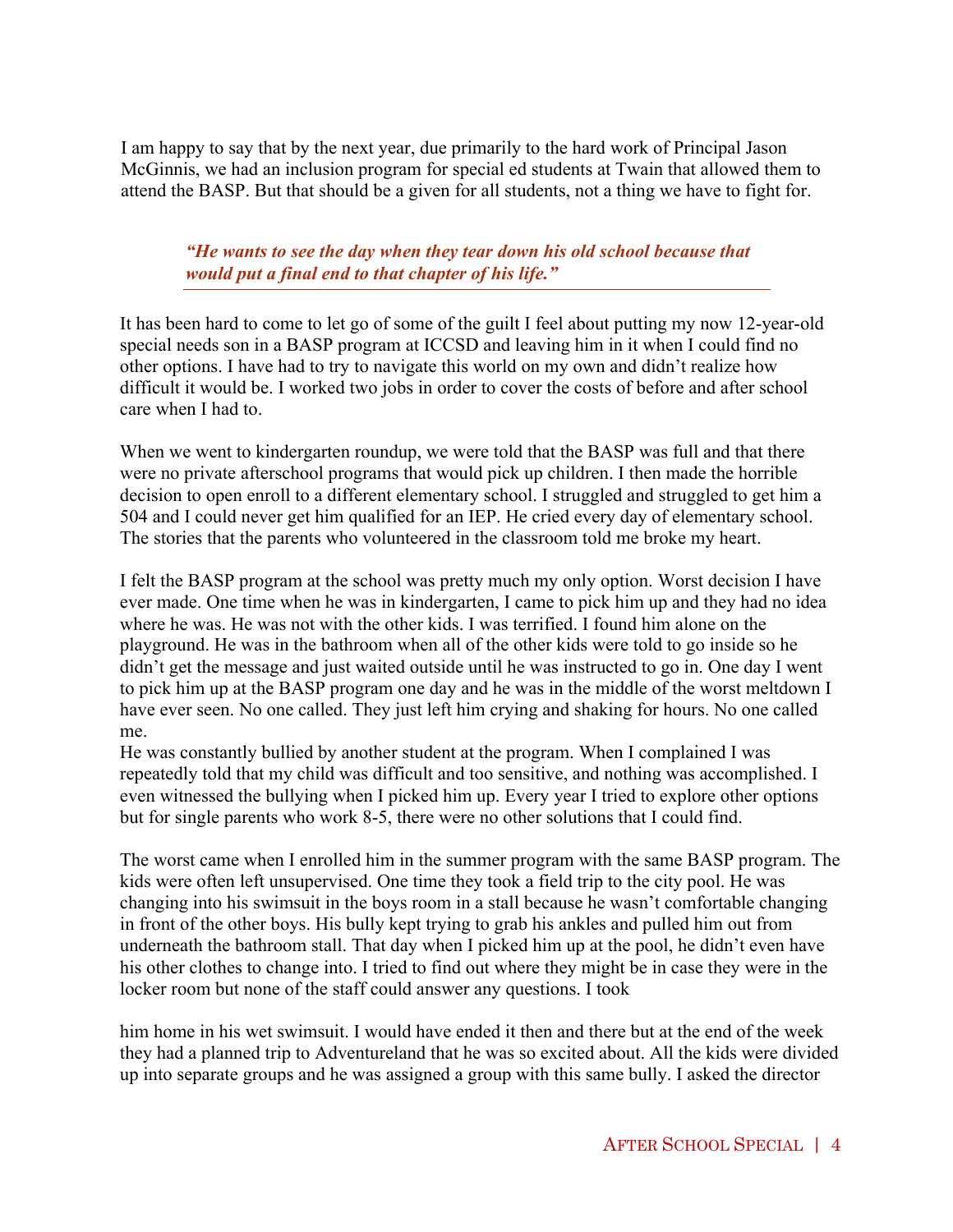I am happy to say that by the next year, due primarily to the hard work of Principal Jason McGinnis, we had an inclusion program for special ed students at Twain that allowed them to attend the BASP. But that should be a given for all students, not a thing we have to fight for.

*"He wants to see the day when they tear down his old school because that would put a final end to that chapter of his life."*

It has been hard to come to let go of some of the guilt I feel about putting my now 12-year-old special needs son in a BASP program at ICCSD and leaving him in it when I could find no other options. I have had to try to navigate this world on my own and didn't realize how difficult it would be. I worked two jobs in order to cover the costs of before and after school care when I had to.

When we went to kindergarten roundup, we were told that the BASP was full and that there were no private afterschool programs that would pick up children. I then made the horrible decision to open enroll to a different elementary school. I struggled and struggled to get him a 504 and I could never get him qualified for an IEP. He cried every day of elementary school. The stories that the parents who volunteered in the classroom told me broke my heart.

I felt the BASP program at the school was pretty much my only option. Worst decision I have ever made. One time when he was in kindergarten, I came to pick him up and they had no idea where he was. He was not with the other kids. I was terrified. I found him alone on the playground. He was in the bathroom when all of the other kids were told to go inside so he didn't get the message and just waited outside until he was instructed to go in. One day I went to pick him up at the BASP program one day and he was in the middle of the worst meltdown I have ever seen. No one called. They just left him crying and shaking for hours. No one called me.

He was constantly bullied by another student at the program. When I complained I was repeatedly told that my child was difficult and too sensitive, and nothing was accomplished. I even witnessed the bullying when I picked him up. Every year I tried to explore other options but for single parents who work 8-5, there were no other solutions that I could find.

The worst came when I enrolled him in the summer program with the same BASP program. The kids were often left unsupervised. One time they took a field trip to the city pool. He was changing into his swimsuit in the boys room in a stall because he wasn't comfortable changing in front of the other boys. His bully kept trying to grab his ankles and pulled him out from underneath the bathroom stall. That day when I picked him up at the pool, he didn't even have his other clothes to change into. I tried to find out where they might be in case they were in the locker room but none of the staff could answer any questions. I took

him home in his wet swimsuit. I would have ended it then and there but at the end of the week they had a planned trip to Adventureland that he was so excited about. All the kids were divided up into separate groups and he was assigned a group with this same bully. I asked the director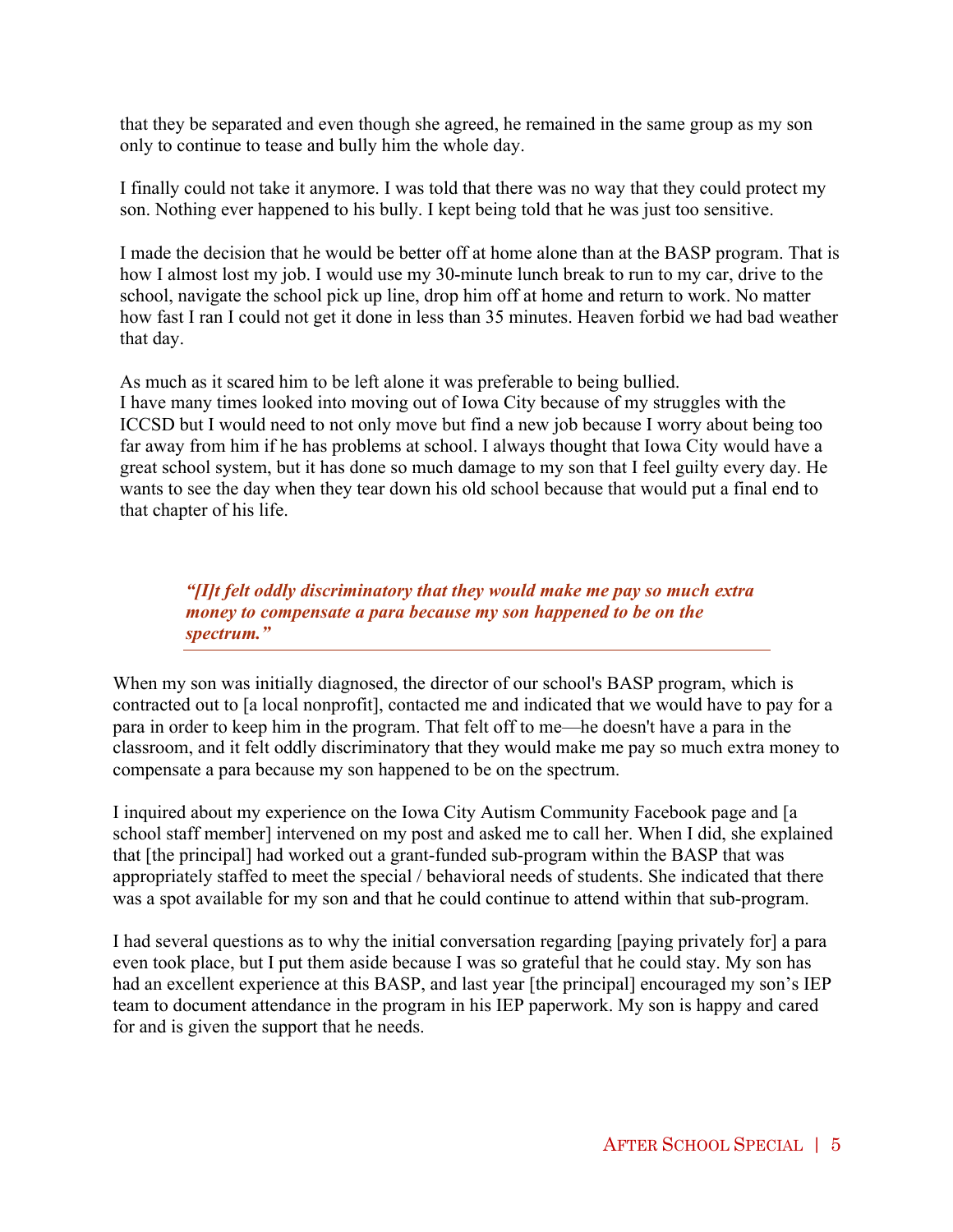that they be separated and even though she agreed, he remained in the same group as my son only to continue to tease and bully him the whole day.

I finally could not take it anymore. I was told that there was no way that they could protect my son. Nothing ever happened to his bully. I kept being told that he was just too sensitive.

I made the decision that he would be better off at home alone than at the BASP program. That is how I almost lost my job. I would use my 30-minute lunch break to run to my car, drive to the school, navigate the school pick up line, drop him off at home and return to work. No matter how fast I ran I could not get it done in less than 35 minutes. Heaven forbid we had bad weather that day.

As much as it scared him to be left alone it was preferable to being bullied. I have many times looked into moving out of Iowa City because of my struggles with the ICCSD but I would need to not only move but find a new job because I worry about being too far away from him if he has problems at school. I always thought that Iowa City would have a great school system, but it has done so much damage to my son that I feel guilty every day. He wants to see the day when they tear down his old school because that would put a final end to that chapter of his life.

*"[I]t felt oddly discriminatory that they would make me pay so much extra money to compensate a para because my son happened to be on the spectrum."*

When my son was initially diagnosed, the director of our school's BASP program, which is contracted out to [a local nonprofit], contacted me and indicated that we would have to pay for a para in order to keep him in the program. That felt off to me—he doesn't have a para in the classroom, and it felt oddly discriminatory that they would make me pay so much extra money to compensate a para because my son happened to be on the spectrum.

I inquired about my experience on the Iowa City Autism Community Facebook page and [a school staff member] intervened on my post and asked me to call her. When I did, she explained that [the principal] had worked out a grant-funded sub-program within the BASP that was appropriately staffed to meet the special / behavioral needs of students. She indicated that there was a spot available for my son and that he could continue to attend within that sub-program.

I had several questions as to why the initial conversation regarding [paying privately for] a para even took place, but I put them aside because I was so grateful that he could stay. My son has had an excellent experience at this BASP, and last year [the principal] encouraged my son's IEP team to document attendance in the program in his IEP paperwork. My son is happy and cared for and is given the support that he needs.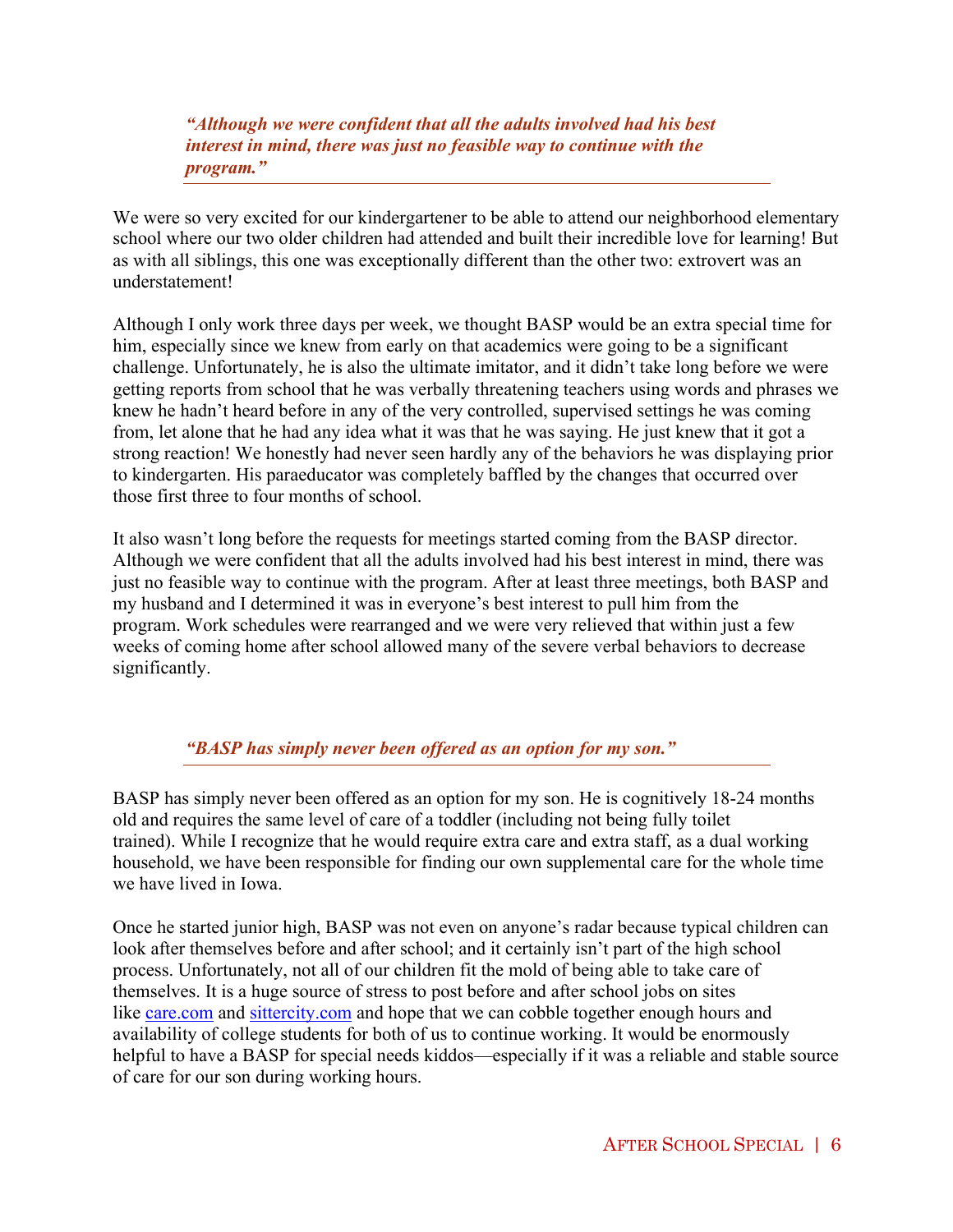*"Although we were confident that all the adults involved had his best interest in mind, there was just no feasible way to continue with the program."*

We were so very excited for our kindergartener to be able to attend our neighborhood elementary school where our two older children had attended and built their incredible love for learning! But as with all siblings, this one was exceptionally different than the other two: extrovert was an understatement!

Although I only work three days per week, we thought BASP would be an extra special time for him, especially since we knew from early on that academics were going to be a significant challenge. Unfortunately, he is also the ultimate imitator, and it didn't take long before we were getting reports from school that he was verbally threatening teachers using words and phrases we knew he hadn't heard before in any of the very controlled, supervised settings he was coming from, let alone that he had any idea what it was that he was saying. He just knew that it got a strong reaction! We honestly had never seen hardly any of the behaviors he was displaying prior to kindergarten. His paraeducator was completely baffled by the changes that occurred over those first three to four months of school.

It also wasn't long before the requests for meetings started coming from the BASP director. Although we were confident that all the adults involved had his best interest in mind, there was just no feasible way to continue with the program. After at least three meetings, both BASP and my husband and I determined it was in everyone's best interest to pull him from the program. Work schedules were rearranged and we were very relieved that within just a few weeks of coming home after school allowed many of the severe verbal behaviors to decrease significantly.

### *"BASP has simply never been offered as an option for my son."*

BASP has simply never been offered as an option for my son. He is cognitively 18-24 months old and requires the same level of care of a toddler (including not being fully toilet trained). While I recognize that he would require extra care and extra staff, as a dual working household, we have been responsible for finding our own supplemental care for the whole time we have lived in Iowa.

Once he started junior high, BASP was not even on anyone's radar because typical children can look after themselves before and after school; and it certainly isn't part of the high school process. Unfortunately, not all of our children fit the mold of being able to take care of themselves. It is a huge source of stress to post before and after school jobs on sites like care.com and sittercity.com and hope that we can cobble together enough hours and availability of college students for both of us to continue working. It would be enormously helpful to have a BASP for special needs kiddos—especially if it was a reliable and stable source of care for our son during working hours.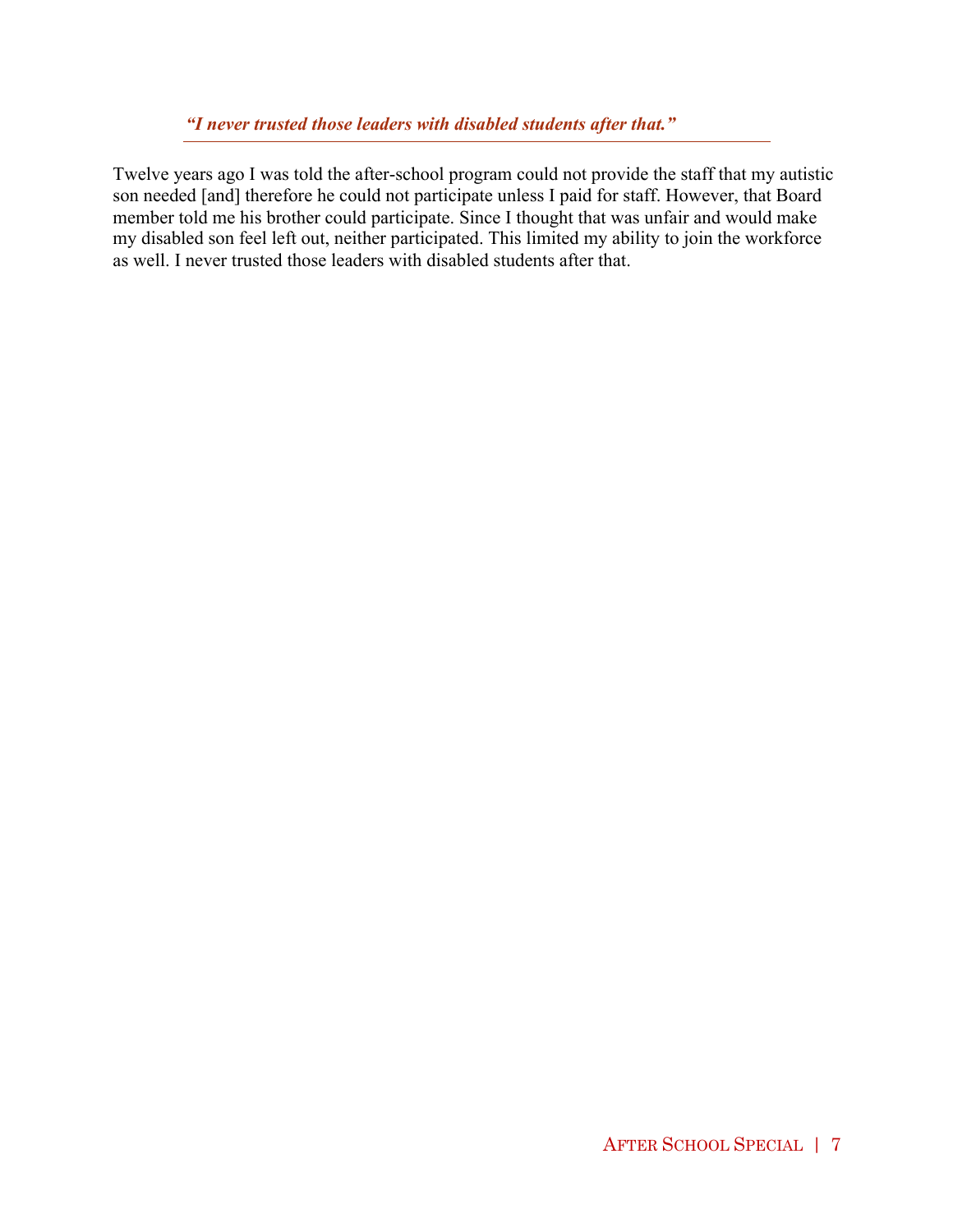*"I never trusted those leaders with disabled students after that."*

Twelve years ago I was told the after-school program could not provide the staff that my autistic son needed [and] therefore he could not participate unless I paid for staff. However, that Board member told me his brother could participate. Since I thought that was unfair and would make my disabled son feel left out, neither participated. This limited my ability to join the workforce as well. I never trusted those leaders with disabled students after that.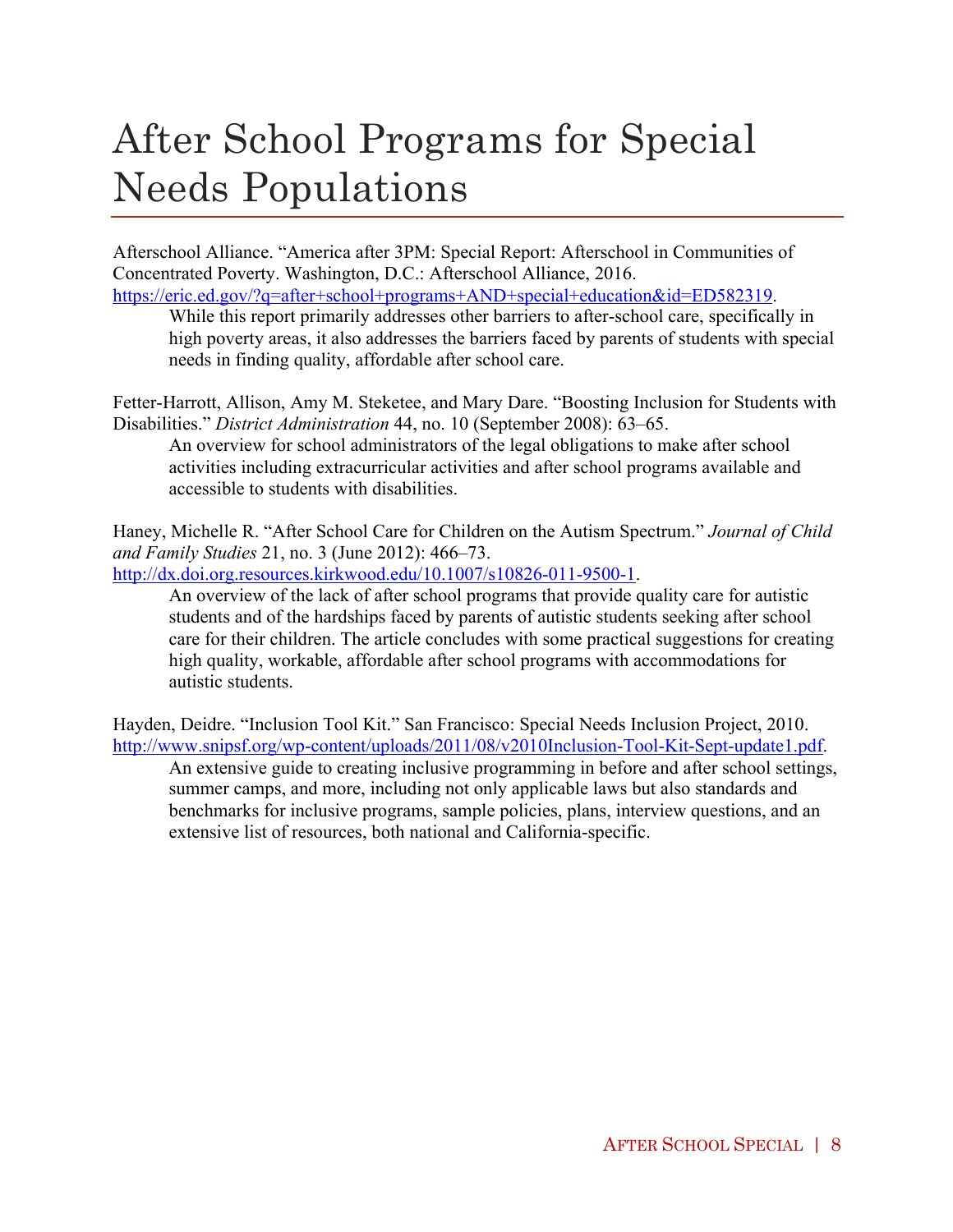## After School Programs for Special Needs Populations

Afterschool Alliance. "America after 3PM: Special Report: Afterschool in Communities of Concentrated Poverty. Washington, D.C.: Afterschool Alliance, 2016. https://eric.ed.gov/?q=after+school+programs+AND+special+education&id=ED582319.

While this report primarily addresses other barriers to after-school care, specifically in high poverty areas, it also addresses the barriers faced by parents of students with special needs in finding quality, affordable after school care.

Fetter-Harrott, Allison, Amy M. Steketee, and Mary Dare. "Boosting Inclusion for Students with Disabilities." *District Administration* 44, no. 10 (September 2008): 63–65.

An overview for school administrators of the legal obligations to make after school activities including extracurricular activities and after school programs available and accessible to students with disabilities.

Haney, Michelle R. "After School Care for Children on the Autism Spectrum." *Journal of Child and Family Studies* 21, no. 3 (June 2012): 466–73.

http://dx.doi.org.resources.kirkwood.edu/10.1007/s10826-011-9500-1.

An overview of the lack of after school programs that provide quality care for autistic students and of the hardships faced by parents of autistic students seeking after school care for their children. The article concludes with some practical suggestions for creating high quality, workable, affordable after school programs with accommodations for autistic students.

Hayden, Deidre. "Inclusion Tool Kit." San Francisco: Special Needs Inclusion Project, 2010. http://www.snipsf.org/wp-content/uploads/2011/08/v2010Inclusion-Tool-Kit-Sept-update1.pdf. An extensive guide to creating inclusive programming in before and after school settings, summer camps, and more, including not only applicable laws but also standards and benchmarks for inclusive programs, sample policies, plans, interview questions, and an extensive list of resources, both national and California-specific.